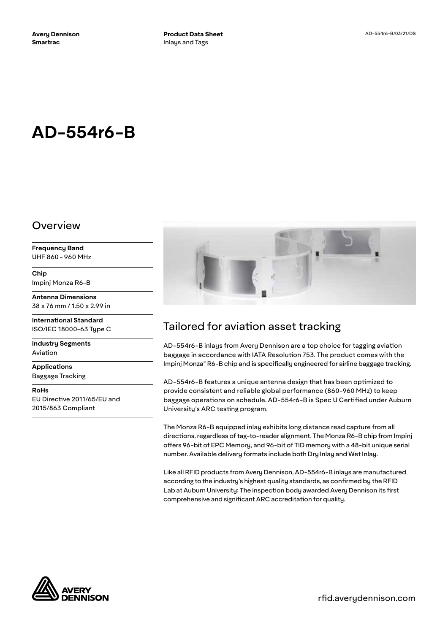# **AD-554r6-B**

#### Overview

**Frequency Band** UHF 860 - 960 MHz

**Chip** Impinj Monza R6-B

**Antenna Dimensions** 38 x 76 mm / 1.50 x 2.99 in

**International Standard** ISO/IEC 18000-63 Type C

**Industry Segments** Aviation

**Applications** Baggage Tracking

**RoHs** EU Directive 2011/65/EU and 2015/863 Compliant



# Tailored for aviation asset tracking

AD-554r6-B inlays from Avery Dennison are a top choice for tagging aviation baggage in accordance with IATA Resolution 753. The product comes with the Impinj Monza® R6-B chip and is specifically engineered for airline baggage tracking.

AD-554r6-B features a unique antenna design that has been optimized to provide consistent and reliable global performance (860-960 MHz) to keep baggage operations on schedule. AD-554r6-B is Spec U Certified under Auburn University's ARC testing program.

The Monza R6-B equipped inlay exhibits long distance read capture from all directions, regardless of tag-to-reader alignment. The Monza R6-B chip from Impinj offers 96-bit of EPC Memory, and 96-bit of TID memory with a 48-bit unique serial number. Available delivery formats include both Dry Inlay and Wet Inlay.

Like all RFID products from Avery Dennison, AD-554r6-B inlays are manufactured according to the industry's highest quality standards, as confirmed by the RFID Lab at Auburn University: The inspection body awarded Avery Dennison its first comprehensive and significant ARC accreditation for quality.